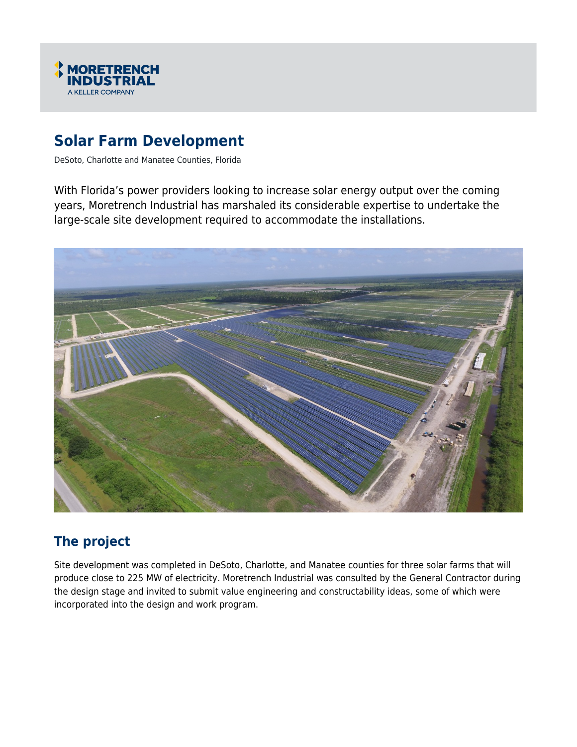

# **Solar Farm Development**

DeSoto, Charlotte and Manatee Counties, Florida

With Florida's power providers looking to increase solar energy output over the coming years, Moretrench Industrial has marshaled its considerable expertise to undertake the large-scale site development required to accommodate the installations.



## **The project**

Site development was completed in DeSoto, Charlotte, and Manatee counties for three solar farms that will produce close to 225 MW of electricity. Moretrench Industrial was consulted by the General Contractor during the design stage and invited to submit value engineering and constructability ideas, some of which were incorporated into the design and work program.